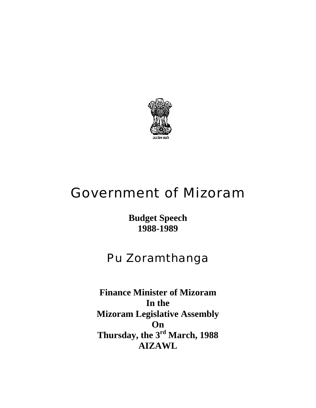

# Government of Mizoram

**Budget Speech 1988-1989** 

# Pu Zoramthanga

**Finance Minister of Mizoram In the Mizoram Legislative Assembly On Thursday, the 3rd March, 1988 AIZAWL**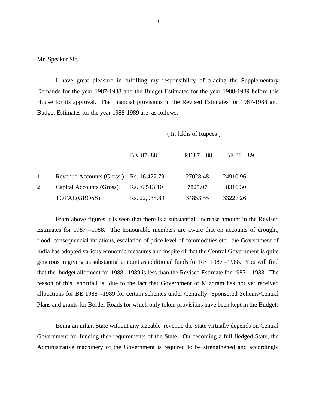Mr. Speaker Sir,

 I have great pleasure in fulfilling my responsibility of placing the Supplementary Demands for the year 1987-1988 and the Budget Estimates for the year 1988-1989 before this House for its approval. The financial provisions in the Revised Estimates for 1987-1988 and Budget Estimates for the year 1988-1989 are as follows:-

( In lakhs of Rupees )

|    |                                        | BE 87-88      | $RE 87 - 88$ | $BE 88 - 89$ |
|----|----------------------------------------|---------------|--------------|--------------|
|    |                                        |               |              |              |
| 1. | Revenue Accounts (Gross) Rs. 16,422.79 |               | 27028.48     | 24910.96     |
| 2. | Capital Accounts (Gross)               | Rs. 6,513.10  | 7825.07      | 8316.30      |
|    | TOTAL(GROSS)                           | Rs. 22,935.89 | 34853.55     | 33227.26     |

From above figures it is seen that there is a substantial increase amount in the Revised Estimates for 1987 –1988. The honourable members are aware that on accounts of drought, flood, consequencial inflations, escalation of price level of commodities etc. the Government of India has adopted various economic measures and inspite of that the Central Government is quite generous in giving us substantial amount as additional funds for RE 1987 –1988. You will find that the budget allotment for 1988 –1989 is less than the Revised Estimate for 1987 – 1988. The reason of this shortfall is due to the fact that Government of Mizoram has not yet received allocations for BE 1988 –1989 for certain schemes under Centrally Sponsored Schems/Central Plans and grants for Border Roads for which only token provisions have been kept in the Budget.

Being an infant State without any sizeable revenue the State virtually depends on Central Government for funding thee requirements of the State. On becoming a full fledged State, the Administrative machinery of the Government is required to be strengthened and accordingly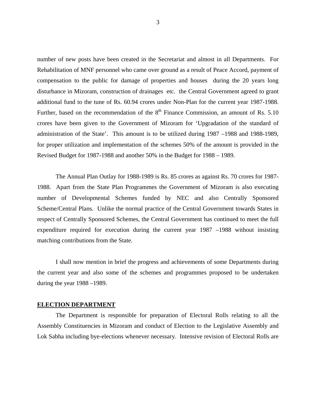number of new posts have been created in the Secretariat and almost in all Departments. For Rehabilitation of MNF personnel who came over ground as a result of Peace Accord, payment of compensation to the public for damage of properties and houses during the 20 years long disturbance in Mizoram, construction of drainages etc. the Central Government agreed to grant additional fund to the tune of Rs. 60.94 crores under Non-Plan for the current year 1987-1988. Further, based on the recommendation of the  $8<sup>th</sup>$  Finance Commission, an amount of Rs. 5.10 crores have been given to the Government of Mizoram for 'Upgradation of the standard of administration of the State'. This amount is to be utilized during 1987 –1988 and 1988-1989, for proper utilization and implementation of the schemes 50% of the amount is provided in the Revised Budget for 1987-1988 and another 50% in the Budget for 1988 – 1989.

The Annual Plan Outlay for 1988-1989 is Rs. 85 crores as against Rs. 70 crores for 1987- 1988. Apart from the State Plan Programmes the Government of Mizoram is also executing number of Developmental Schemes funded by NEC and also Centrally Sponsored Scheme/Central Plans. Unlike the normal practice of the Central Government towards States in respect of Centrally Sponsored Schemes, the Central Government has continued to meet the full expenditure required for execution during the current year 1987 –1988 without insisting matching contributions from the State.

I shall now mention in brief the progress and achievements of some Departments during the current year and also some of the schemes and programmes proposed to be undertaken during the year 1988 –1989.

#### **ELECTION DEPARTMENT**

The Department is responsible for preparation of Electoral Rolls relating to all the Assembly Constituencies in Mizoram and conduct of Election to the Legislative Assembly and Lok Sabha including bye-elections whenever necessary. Intensive revision of Electoral Rolls are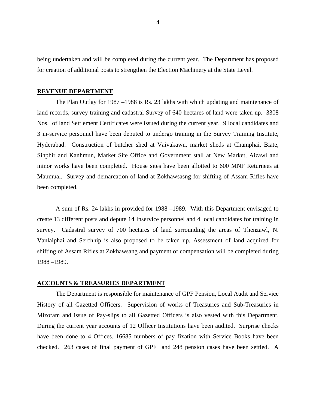being undertaken and will be completed during the current year. The Department has proposed for creation of additional posts to strengthen the Election Machinery at the State Level.

#### **REVENUE DEPARTMENT**

The Plan Outlay for 1987 –1988 is Rs. 23 lakhs with which updating and maintenance of land records, survey training and cadastral Survey of 640 hectares of land were taken up. 3308 Nos. of land Settlement Certificates were issued during the current year. 9 local candidates and 3 in-service personnel have been deputed to undergo training in the Survey Training Institute, Hyderabad. Construction of butcher shed at Vaivakawn, market sheds at Champhai, Biate, Sihphir and Kanhmun, Market Site Office and Government stall at New Market, Aizawl and minor works have been completed. House sites have been allotted to 600 MNF Returnees at Maumual. Survey and demarcation of land at Zokhawsasng for shifting of Assam Rifles have been completed.

A sum of Rs. 24 lakhs in provided for 1988 –1989. With this Department envisaged to create 13 different posts and depute 14 Inservice personnel and 4 local candidates for training in survey. Cadastral survey of 700 hectares of land surrounding the areas of Thenzawl, N. Vanlaiphai and Serchhip is also proposed to be taken up. Assessment of land acquired for shifting of Assam Rifles at Zokhawsang and payment of compensation will be completed during 1988 –1989.

#### **ACCOUNTS & TREASURIES DEPARTMENT**

The Department is responsible for maintenance of GPF Pension, Local Audit and Service History of all Gazetted Officers. Supervision of works of Treasuries and Sub-Treasuries in Mizoram and issue of Pay-slips to all Gazetted Officers is also vested with this Department. During the current year accounts of 12 Officer Institutions have been audited. Surprise checks have been done to 4 Offices. 16685 numbers of pay fixation with Service Books have been checked. 263 cases of final payment of GPF and 248 pension cases have been settled. A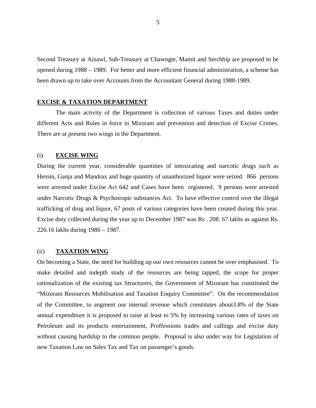Second Treasury at Aizawl, Sub-Treasury at Chawngte, Mamit and Serchhip are proposed to be opened during 1988 – 1989. For better and more efficient financial administration, a scheme has been drawn up to take over Accounts from the Accountant General during 1988-1989.

#### **EXCISE & TAXATION DEPARTMENT**

The main activity of the Department is collection of various Taxes and duties under different Acts and Rules in force in Mizoram and prevention and detection of Excise Crimes. There are at present two wings in the Department.

#### (i) **EXCISE WING**

During the current year, considerable quantities of intoxicating and narcotic drugs such as Heroin, Ganja and Mandrax and huge quantity of unauthorized liquor were seized. 866 persons were arrested under Excise Act 642 and Cases have been registered. 9 persons were arrested under Narcotic Drugs & Psychotropic substances Act. To have effective control over the illegal trafficking of drug and liquor, 67 posts of various categories have been created during this year. Excise duty collected during the year up to December 1987 was Rs . 208. 67 lakhs as against Rs. 226.16 lakhs during 1986 – 1987.

#### (ii) **TAXATION WING**

On becoming a State, the need for building up our own resources cannot be over emphasised. To make detailed and indepth study of the resources are being tapped, the scope for proper rationalization of the existing tax Structurers, the Government of Mizoram has constituted the "Mizoram Resources Mobilisation and Taxation Enquiry Committee". On the recommendation of the Committee, to angment our internal revenue which constitutes about3.8% of the State annual expenditure it is proposed to raise at least to 5% by increasing various rates of taxes on Petroleum and its products entertainment, Proffessions trades and callings and excise duty without causing hardship to the common people. Proposal is also under way for Legislation of new Taxation Law on Sales Tax and Tax on passenger's goods.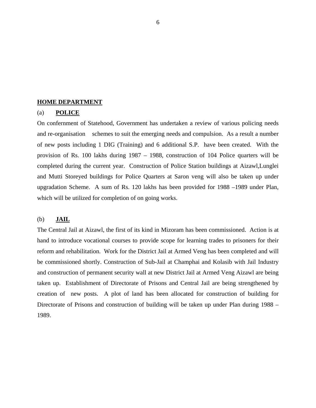#### **HOME DEPARTMENT**

# (a) **POLICE**

On confernment of Statehood, Government has undertaken a review of various policing needs and re-organisation schemes to suit the emerging needs and compulsion. As a result a number of new posts including 1 DIG (Training) and 6 additional S.P. have been created. With the provision of Rs. 100 lakhs during 1987 – 1988, construction of 104 Police quarters will be completed during the current year. Construction of Police Station buildings at Aizawl,Lunglei and Mutti Storeyed buildings for Police Quarters at Saron veng will also be taken up under upgradation Scheme. A sum of Rs. 120 lakhs has been provided for 1988 –1989 under Plan, which will be utilized for completion of on going works.

# (b) **JAIL**

The Central Jail at Aizawl, the first of its kind in Mizoram has been commissioned. Action is at hand to introduce vocational courses to provide scope for learning trades to prisoners for their reform and rehabilitation. Work for the District Jail at Armed Veng has been completed and will be commissioned shortly. Construction of Sub-Jail at Champhai and Kolasib with Jail Industry and construction of permanent security wall at new District Jail at Armed Veng Aizawl are being taken up. Establishment of Directorate of Prisons and Central Jail are being strengthened by creation of new posts. A plot of land has been allocated for construction of building for Directorate of Prisons and construction of building will be taken up under Plan during 1988 – 1989.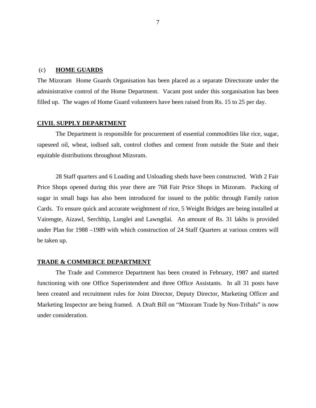#### (c) **HOME GUARDS**

The Mizoram Home Guards Organisation has been placed as a separate Directorate under the administrative control of the Home Department. Vacant post under this sorganisation has been filled up. The wages of Home Guard volunteers have been raised from Rs. 15 to 25 per day.

# **CIVIL SUPPLY DEPARTMENT**

The Department is responsible for procurement of essential commodities like rice, sugar, rapeseed oil, wheat, iodised salt, control clothes and cement from outside the State and their equitable distributions throughout Mizoram.

28 Staff quarters and 6 Loading and Unloading sheds have been constructed. With 2 Fair Price Shops opened during this year there are 768 Fair Price Shops in Mizoram. Packing of sugar in small bags has also been introduced for issued to the public through Family ration Cards. To ensure quick and accurate weightment of rice, 5 Weight Bridges are being installed at Vairengte, Aizawl, Serchhip, Lunglei and Lawngtlai. An amount of Rs. 31 lakhs is provided under Plan for 1988 –1989 with which construction of 24 Staff Quarters at various centres will be taken up.

# **TRADE & COMMERCE DEPARTMENT**

The Trade and Commerce Department has been created in February, 1987 and started functioning with one Office Superintendent and three Office Assistants. In all 31 posts have been created and recruitment rules for Joint Director, Deputy Director, Marketing Officer and Marketing Inspector are being framed. A Draft Bill on "Mizoram Trade by Non-Tribals" is now under consideration.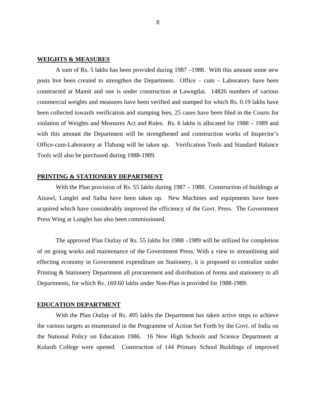#### **WEIGHTS & MEASURES**

A sum of Rs. 5 lakhs has been provided during 1987 –1988. With this amount some new posts hve been created to strengthen the Department. Office – cum – Laboratory have been constructed at Mamit and one is under construction at Lawngtlai. 14826 numbers of various commercial weights and measures have been verified and stamped for which Rs. 0.19 lakhs have been collected towards verification and stamping fees, 25 cases have been filed in the Courts for violation of Weights and Measures Act and Rules. Rs. 6 lakhs is allocated for 1988 – 1989 and with this amount the Department will be strengthened and construction works of Inspector's Office-cum-Laboratory at Tlabung will be taken up. Verification Tools and Standard Balance Tools will also be purchased during 1988-1989.

#### **PRINTING & STATIONERY DEPARTMENT**

With the Plan provision of Rs. 55 lakhs during 1987 – 1988. Construction of buildings at Aizawl, Lunglei and Saiha have been taken up. New Machines and equipments have been acquired which have considerably improved the efficiency of the Govt. Press. The Government Press Wing at Lunglei has also been commissioned.

The approved Plan Outlay of Rs. 55 lakhs for 1988 –1989 will be utilized for completion of on going works and maintenance of the Government Press. With a view to streamlining and effecting economy in Government expenditure on Stationery, it is proposed to centralize under Printing & Stationery Department all procurement and distribution of forms and stationery to all Departments, for which Rs. 169.60 lakhs under Non-Plan is provided for 1988-1989.

#### **EDUCATION DEPARTMENT**

 With the Plan Outlay of Rs. 495 lakhs the Department has taken active steps to achieve the various targets as enumerated in the Programme of Action Set Forth by the Govt. of India on the National Policy on Education 1986. 16 New High Schools and Science Department at Kolasib College were opened. Construction of 144 Primary School Buildings of improved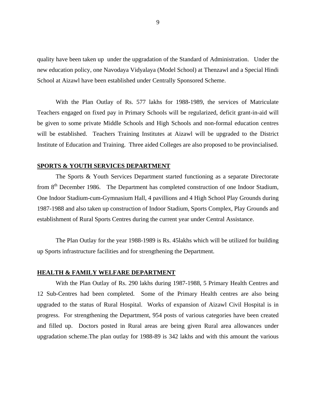quality have been taken up under the upgradation of the Standard of Administration. Under the new education policy, one Navodaya Vidyalaya (Model School) at Thenzawl and a Special Hindi School at Aizawl have been established under Centrally Sponsored Scheme.

With the Plan Outlay of Rs. 577 lakhs for 1988-1989, the services of Matriculate Teachers engaged on fixed pay in Primary Schools will be regularized, deficit grant-in-aid will be given to some private Middle Schools and High Schools and non-formal education centres will be established. Teachers Training Institutes at Aizawl will be upgraded to the District Institute of Education and Training. Three aided Colleges are also proposed to be provincialised.

#### **SPORTS & YOUTH SERVICES DEPARTMENT**

 The Sports & Youth Services Department started functioning as a separate Directorate from 8<sup>th</sup> December 1986. The Department has completed construction of one Indoor Stadium, One Indoor Stadium-cum-Gymnasium Hall, 4 pavillions and 4 High School Play Grounds during 1987-1988 and also taken up construction of Indoor Stadium, Sports Complex, Play Grounds and establishment of Rural Sports Centres during the current year under Central Assistance.

The Plan Outlay for the year 1988-1989 is Rs. 45lakhs which will be utilized for building up Sports infrastructure facilities and for strengthening the Department.

#### **HEALTH & FAMILY WELFARE DEPARTMENT**

With the Plan Outlay of Rs. 290 lakhs during 1987-1988, 5 Primary Health Centres and 12 Sub-Centres had been completed. Some of the Primary Health centres are also being upgraded to the status of Rural Hospital. Works of expansion of Aizawl Civil Hospital is in progress. For strengthening the Department, 954 posts of various categories have been created and filled up. Doctors posted in Rural areas are being given Rural area allowances under upgradation scheme.The plan outlay for 1988-89 is 342 lakhs and with this amount the various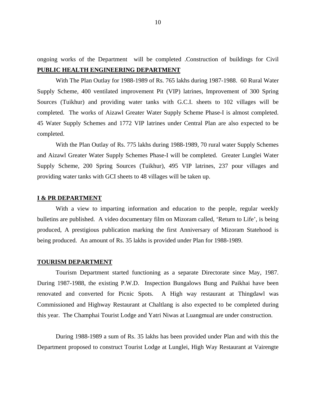ongoing works of the Department will be completed .Construction of buildings for Civil **PUBLIC HEALTH ENGINEERING DEPARTMENT**

With The Plan Outlay for 1988-1989 of Rs. 765 lakhs during 1987-1988. 60 Rural Water Supply Scheme, 400 ventilated improvement Pit (VIP) latrines, Improvement of 300 Spring Sources (Tuikhur) and providing water tanks with G.C.I. sheets to 102 villages will be completed. The works of Aizawl Greater Water Supply Scheme Phase-I is almost completed. 45 Water Supply Schemes and 1772 VIP latrines under Central Plan are also expected to be completed.

 With the Plan Outlay of Rs. 775 lakhs during 1988-1989, 70 rural water Supply Schemes and Aizawl Greater Water Supply Schemes Phase-I will be completed. Greater Lunglei Water Supply Scheme, 200 Spring Sources (Tuikhur), 495 VIP latrines, 237 pour villages and providing water tanks with GCI sheets to 48 villages will be taken up.

#### **I & PR DEPARTMENT**

With a view to imparting information and education to the people, regular weekly bulletins are published. A video documentary film on Mizoram called, 'Return to Life', is being produced, A prestigious publication marking the first Anniversary of Mizoram Statehood is being produced. An amount of Rs. 35 lakhs is provided under Plan for 1988-1989.

#### **TOURISM DEPARTMENT**

 Tourism Department started functioning as a separate Directorate since May, 1987. During 1987-1988, the existing P.W.D. Inspection Bungalows Bung and Paikhai have been renovated and converted for Picnic Spots. A High way restaurant at Thingdawl was Commissioned and Highway Restaurant at Chaltlang is also expected to be completed during this year. The Champhai Tourist Lodge and Yatri Niwas at Luangmual are under construction.

During 1988-1989 a sum of Rs. 35 lakhs has been provided under Plan and with this the Department proposed to construct Tourist Lodge at Lunglei, High Way Restaurant at Vairengte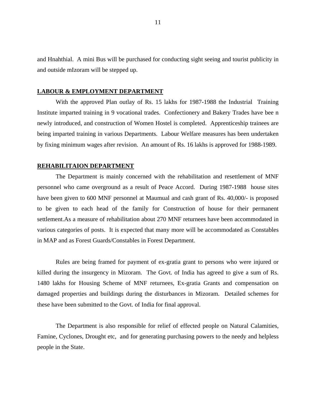and Hnahthial. A mini Bus will be purchased for conducting sight seeing and tourist publicity in and outside mIzoram will be stepped up.

#### **LABOUR & EMPLOYMENT DEPARTMENT**

 With the approved Plan outlay of Rs. 15 lakhs for 1987-1988 the Industrial Training Institute imparted training in 9 vocational trades. Confectionery and Bakery Trades have bee n newly introduced, and construction of Women Hostel is completed. Apprenticeship trainees are being imparted training in various Departments. Labour Welfare measures has been undertaken by fixing minimum wages after revision. An amount of Rs. 16 lakhs is approved for 1988-1989.

#### **REHABILITAION DEPARTMENT**

The Department is mainly concerned with the rehabilitation and resettlement of MNF personnel who came overground as a result of Peace Accord. During 1987-1988 house sites have been given to 600 MNF personnel at Maumual and cash grant of Rs. 40,000/- is proposed to be given to each head of the family for Construction of house for their permanent settlement.As a measure of rehabilitation about 270 MNF returnees have been accommodated in various categories of posts. It is expected that many more will be accommodated as Constables in MAP and as Forest Guards/Constables in Forest Department.

Rules are being framed for payment of ex-gratia grant to persons who were injured or killed during the insurgency in Mizoram. The Govt. of India has agreed to give a sum of Rs. 1480 lakhs for Housing Scheme of MNF returnees, Ex-gratia Grants and compensation on damaged properties and buildings during the disturbances in Mizoram. Detailed schemes for these have been submitted to the Govt. of India for final approval.

The Department is also responsible for relief of effected people on Natural Calamities, Famine, Cyclones, Drought etc, and for generating purchasing powers to the needy and helpless people in the State.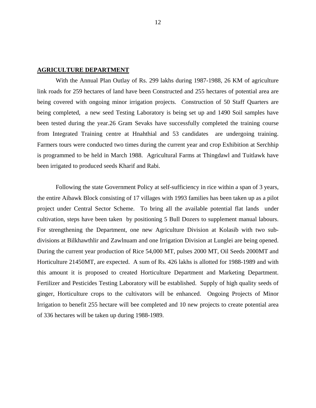#### **AGRICULTURE DEPARTMENT**

With the Annual Plan Outlay of Rs. 299 lakhs during 1987-1988, 26 KM of agriculture link roads for 259 hectares of land have been Constructed and 255 hectares of potential area are being covered with ongoing minor irrigation projects. Construction of 50 Staff Quarters are being completed, a new seed Testing Laboratory is being set up and 1490 Soil samples have been tested during the year.26 Gram Sevaks have successfully completed the training course from Integrated Training centre at Hnahthial and 53 candidates are undergoing training. Farmers tours were conducted two times during the current year and crop Exhibition at Serchhip is programmed to be held in March 1988. Agricultural Farms at Thingdawl and Tuitlawk have been irrigated to produced seeds Kharif and Rabi.

Following the state Government Policy at self-sufficiency in rice within a span of 3 years, the entire Aibawk Block consisting of 17 villages with 1993 families has been taken up as a pilot project under Central Sector Scheme. To bring all the available potential flat lands under cultivation, steps have been taken by positioning 5 Bull Dozers to supplement manual labours. For strengthening the Department, one new Agriculture Division at Kolasib with two subdivisions at Bilkhawthlir and Zawlnuam and one Irrigation Division at Lunglei are being opened. During the current year production of Rice 54,000 MT, pulses 2000 MT, Oil Seeds 2000MT and Horticulture 21450MT, are expected. A sum of Rs. 426 lakhs is allotted for 1988-1989 and with this amount it is proposed to created Horticulture Department and Marketing Department. Fertilizer and Pesticides Testing Laboratory will be established. Supply of high quality seeds of ginger, Horticulture crops to the cultivators will be enhanced. Ongoing Projects of Minor Irrigation to benefit 255 hectare will bee completed and 10 new projects to create potential area of 336 hectares will be taken up during 1988-1989.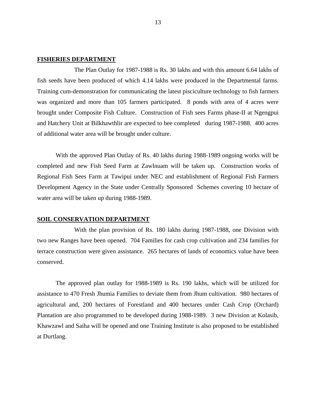# **FISHERIES DEPARTMENT**

 The Plan Outlay for 1987-1988 is Rs. 30 lakhs and with this amount 6.64 lakhs of fish seeds have been produced of which 4.14 lakhs were produced in the Departmental farms. Training cum-demonstration for communicating the latest pisciculture technology to fish farmers was organized and more than 105 farmers participated. 8 ponds with area of 4 acres were brought under Composite Fish Culture. Construction of Fish sees Farms phase-II at Ngengpui and Hatchery Unit at Bilkhawthlir are expected to bee completed during 1987-1988. 400 acres of additional water area will be brought under culture.

With the approved Plan Outlay of Rs. 40 lakhs during 1988-1989 ongoing works will be completed and new Fish Seed Farm at Zawlnuam will be taken up. Construction works of Regional Fish Sees Farm at Tawipui under NEC and establishment of Regional Fish Farmers Development Agency in the State under Centrally Sponsored Schemes covering 10 hectare of water area will be taken up during 1988-1989.

#### **SOIL CONSERVATION DEPARTMENT**

 With the plan provision of Rs. 180 lakhs during 1987-1988, one Division with two new Ranges have been opened. 704 Families for cash crop cultivation and 234 families for terrace construction were given assistance. 265 hectares of lands of economics value have been conserved.

 The approved plan outlay for 1988-1989 is Rs. 190 lakhs, which will be utilized for assistance to 470 Fresh Jhumia Families to deviate them from Jhum cultivation. 980 hectares of agricultural and, 200 hectares of Forestland and 400 hectares under Cash Crop (Orchard) Plantation are also programmed to be developed during 1988-1989. 3 new Division at Kolasib, Khawzawl and Saiha will be opened and one Training Institute is also proposed to be established at Durtlang.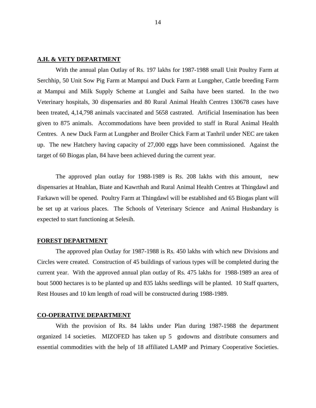# **A.H. & VETY DEPARTMENT**

With the annual plan Outlay of Rs. 197 lakhs for 1987-1988 small Unit Poultry Farm at Serchhip, 50 Unit Sow Pig Farm at Mampui and Duck Farm at Lungpher, Cattle breeding Farm at Mampui and Milk Supply Scheme at Lunglei and Saiha have been started. In the two Veterinary hospitals, 30 dispensaries and 80 Rural Animal Health Centres 130678 cases have been treated, 4,14,798 animals vaccinated and 5658 castrated. Artificial Insemination has been given to 875 animals. Accommodations have been provided to staff in Rural Animal Health Centres. A new Duck Farm at Lungpher and Broiler Chick Farm at Tanhril under NEC are taken up. The new Hatchery having capacity of 27,000 eggs have been commissioned. Against the target of 60 Biogas plan, 84 have been achieved during the current year.

The approved plan outlay for 1988-1989 is Rs. 208 lakhs with this amount, new dispensaries at Hnahlan, Biate and Kawrthah and Rural Animal Health Centres at Thingdawl and Farkawn will be opened. Poultry Farm at Thingdawl will be established and 65 Biogas plant will be set up at various places. The Schools of Veterinary Science and Animal Husbandary is expected to start functioning at Selesih.

# **FOREST DEPARTMENT**

The approved plan Outlay for 1987-1988 is Rs. 450 lakhs with which new Divisions and Circles were created. Construction of 45 buildings of various types will be completed during the current year. With the approved annual plan outlay of Rs. 475 lakhs for 1988-1989 an area of bout 5000 hectares is to be planted up and 835 lakhs seedlings will be planted. 10 Staff quarters, Rest Houses and 10 km length of road will be constructed during 1988-1989.

#### **CO-OPERATIVE DEPARTMENT**

 With the provision of Rs. 84 lakhs under Plan during 1987-1988 the department organized 14 societies. MIZOFED has taken up 5 godowns and distribute consumers and essential commodities with the help of 18 affiliated LAMP and Primary Cooperative Societies.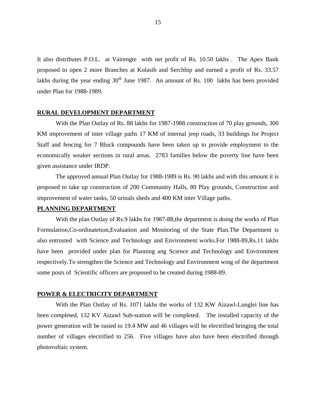It also distributes P.O.L. at Vairengte with net profit of Rs. 10.50 lakhs . The Apex Bank proposed to open 2 more Branches at Kolasib and Serchhip and earned a profit of Rs. 33.57 lakhs during the year ending  $30<sup>th</sup>$  June 1987. An amount of Rs. 100 lakhs has been provided under Plan for 1988-1989.

#### **RURAL DEVELOPMENT DEPARTMENT**

With the Plan Outlay of Rs. 88 lakhs for 1987-1988 construction of 70 play grounds, 300 KM improvement of inter village paths 17 KM of internal jeep roads, 33 buildings for Project Staff and fencing for 7 Block compounds have been taken up to provide employment to the economically weaker sections in rural areas. 2783 families below the poverty line have been given assistance under IRDP.

The approved annual Plan Outlay for 1988-1989 is Rs. 90 lakhs and with this amount it is proposed to take up construction of 200 Community Halls, 80 Play grounds, Construction and improvement of water tanks, 50 urinals sheds and 400 KM inter Village paths.

#### **PLANNING DEPARTMENT**

With the plan Outlay of Rs.9 lakhs for 1987-88, the department is doing the works of Plan Formulation,Co-ordinatetion,Evaluation and Monitoring of the State Plan.The Department is also entrusted with Science and Technology and Environment works.For 1988-89,Rs.11 lakhs have been provided under plan for Planning ang Science and Technology and Environment respectively.To strengthen the Science and Technology and Environment wing of the department some posts of Scientific officers are proposed to be created during 1988-89.

#### **POWER & ELECTRICITY DEPARTMENT**

With the Plan Outlay of Rs. 1071 lakhs the works of 132 KW Aizawl-Lunglei line has been completed, 132 KV Aizawl Sub-station will be completed. The installed capacity of the power generation will be rasied to 19.4 MW and 46 villages will be electrified bringing the total number of villages electrified to 256. Five villages have also have been electrified through photovoltaic system.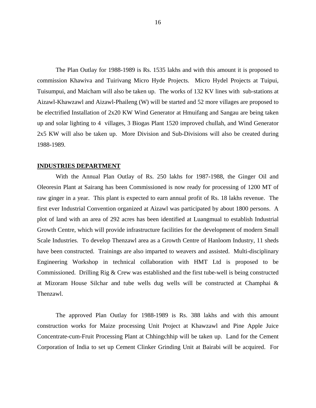The Plan Outlay for 1988-1989 is Rs. 1535 lakhs and with this amount it is proposed to commission Khawiva and Tuirivang Micro Hyde Projects. Micro Hydel Projects at Tuipui, Tuisumpui, and Maicham will also be taken up. The works of 132 KV lines with sub-stations at Aizawl-Khawzawl and Aizawl-Phaileng (W) will be started and 52 more villages are proposed to be electrified Installation of 2x20 KW Wind Generator at Hmuifang and Sangau are being taken up and solar lighting to 4 villages, 3 Biogas Plant 1520 improved chullah, and Wind Generator 2x5 KW will also be taken up. More Division and Sub-Divisions will also be created during 1988-1989.

#### **INDUSTRIES DEPARTMENT**

With the Annual Plan Outlay of Rs. 250 lakhs for 1987-1988, the Ginger Oil and Oleoresin Plant at Sairang has been Commissioned is now ready for processing of 1200 MT of raw ginger in a year. This plant is expected to earn annual profit of Rs. 18 lakhs revenue. The first ever Industrial Convention organized at Aizawl was participated by about 1800 persons. A plot of land with an area of 292 acres has been identified at Luangmual to establish Industrial Growth Centre, which will provide infrastructure facilities for the development of modern Small Scale Industries. To develop Thenzawl area as a Growth Centre of Hanloom Industry, 11 sheds have been constructed. Trainings are also imparted to weavers and assisted. Multi-disciplinary Engineering Workshop in technical collaboration with HMT Ltd is proposed to be Commissioned. Drilling Rig & Crew was established and the first tube-well is being constructed at Mizoram House Silchar and tube wells dug wells will be constructed at Champhai & Thenzawl.

The approved Plan Outlay for 1988-1989 is Rs. 388 lakhs and with this amount construction works for Maize processing Unit Project at Khawzawl and Pine Apple Juice Concentrate-cum-Fruit Processing Plant at Chhingchhip will be taken up. Land for the Cement Corporation of India to set up Cement Clinker Grinding Unit at Bairabi will be acquired. For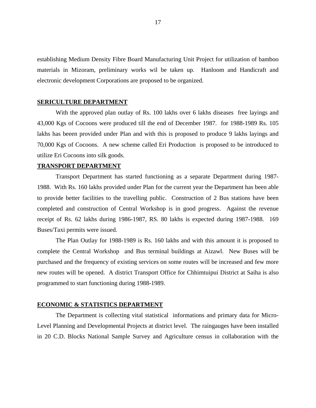establishing Medium Density Fibre Board Manufacturing Unit Project for utilization of bamboo materials in Mizoram, preliminary works wil be taken up. Hanloom and Handicraft and electronic development Corporations are proposed to be organized.

#### **SERICULTURE DEPARTMENT**

With the approved plan outlay of Rs. 100 lakhs over 6 lakhs diseases free layings and 43,000 Kgs of Cocoons were produced till the end of December 1987. for 1988-1989 Rs. 105 lakhs has beeen provided under Plan and with this is proposed to produce 9 lakhs layings and 70,000 Kgs of Cocoons. A new scheme called Eri Production is proposed to be introduced to utilize Eri Cocoons into silk goods.

#### **TRANSPORT DEPARTMENT**

Transport Department has started functioning as a separate Department during 1987- 1988. With Rs. 160 lakhs provided under Plan for the current year the Department has been able to provide better facilities to the travelling public. Construction of 2 Bus stations have been completed and construction of Central Workshop is in good progress. Against the revenue receipt of Rs. 62 lakhs during 1986-1987, RS. 80 lakhs is expected during 1987-1988. 169 Buses/Taxi permits were issued.

The Plan Outlay for 1988-1989 is Rs. 160 lakhs and with this amount it is proposed to complete the Central Workshop and Bus terminal buildings at Aizawl. New Buses will be purchased and the frequency of existing services on some routes will be increased and few more new routes will be opened. A district Transport Office for Chhimtuipui District at Saiha is also programmed to start functioning during 1988-1989.

#### **ECONOMIC & STATISTICS DEPARTMENT**

The Department is collecting vital statistical informations and primary data for Micro-Level Planning and Developmental Projects at district level. The raingauges have been installed in 20 C.D. Blocks National Sample Survey and Agriculture census in collaboration with the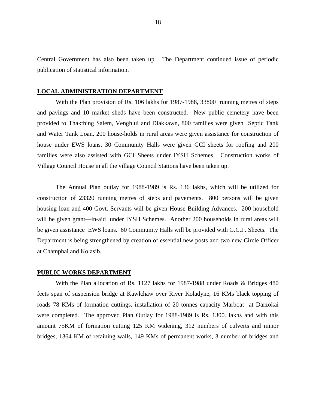Central Government has also been taken up. The Department continued issue of periodic publication of statistical information.

#### **LOCAL ADMINISTRATION DEPARTMENT**

With the Plan provision of Rs. 106 lakhs for 1987-1988, 33800 running metres of steps and pavings and 10 market sheds have been constructed. New public cemetery have been provided to Thakthing Salem, Venghlui and Diakkawn, 800 families were given Septic Tank and Water Tank Loan. 200 house-holds in rural areas were given assistance for construction of house under EWS loans. 30 Community Halls were given GCI sheets for roofing and 200 families were also assisted with GCI Sheets under IYSH Schemes. Construction works of Village Council House in all the village Council Stations have been taken up.

The Annual Plan outlay for 1988-1989 is Rs. 136 lakhs, which will be utilized for construction of 23320 running metres of steps and pavements. 800 persons will be given housing loan and 400 Govt. Servants will be given House Building Advances. 200 household will be given grant—in-aid under IYSH Schemes. Another 200 households in rural areas will be given assistance EWS loans. 60 Community Halls will be provided with G.C.I . Sheets. The Department is being strengthened by creation of essential new posts and two new Circle Officer at Champhai and Kolasib.

#### **PUBLIC WORKS DEPARTMENT**

With the Plan allocation of Rs. 1127 lakhs for 1987-1988 under Roads & Bridges 480 feets span of suspension bridge at Kawlchaw over River Koladyne, 16 KMs black topping of roads 78 KMs of formation cuttings, installation of 20 tonnes capacity Marboat at Darzokai were completed. The approved Plan Outlay for 1988-1989 is Rs. 1300. lakhs and with this amount 75KM of formation cutting 125 KM widening, 312 numbers of culverts and minor bridges, 1364 KM of retaining walls, 149 KMs of permanent works, 3 number of bridges and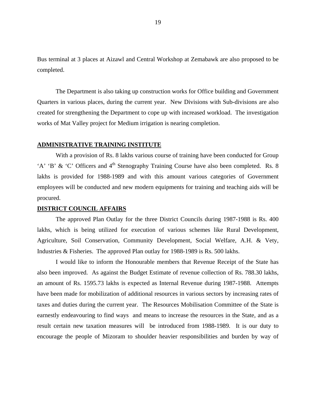Bus terminal at 3 places at Aizawl and Central Workshop at Zemabawk are also proposed to be completed.

 The Department is also taking up construction works for Office building and Government Quarters in various places, during the current year. New Divisions with Sub-divisions are also created for strengthening the Department to cope up with increased workload. The investigation works of Mat Valley project for Medium irrigation is nearing completion.

# **ADMINISTRATIVE TRAINING INSTITUTE**

With a provision of Rs. 8 lakhs various course of training have been conducted for Group 'A' 'B' & 'C' Officers and 4<sup>th</sup> Stenography Training Course have also been completed. Rs. 8 lakhs is provided for 1988-1989 and with this amount various categories of Government employees will be conducted and new modern equipments for training and teaching aids will be procured.

#### **DISTRICT COUNCIL AFFAIRS**

The approved Plan Outlay for the three District Councils during 1987-1988 is Rs. 400 lakhs, which is being utilized for execution of various schemes like Rural Development, Agriculture, Soil Conservation, Community Development, Social Welfare, A.H. & Vety, Industries & Fisheries. The approved Plan outlay for 1988-1989 is Rs. 500 lakhs.

I would like to inform the Honourable members that Revenue Receipt of the State has also been improved. As against the Budget Estimate of revenue collection of Rs. 788.30 lakhs, an amount of Rs. 1595.73 lakhs is expected as Internal Revenue during 1987-1988. Attempts have been made for mobilization of additional resources in various sectors by increasing rates of taxes and duties during the current year. The Resources Mobilisation Committee of the State is earnestly endeavouring to find ways and means to increase the resources in the State, and as a result certain new taxation measures will be introduced from 1988-1989. It is our duty to encourage the people of Mizoram to shoulder heavier responsibilities and burden by way of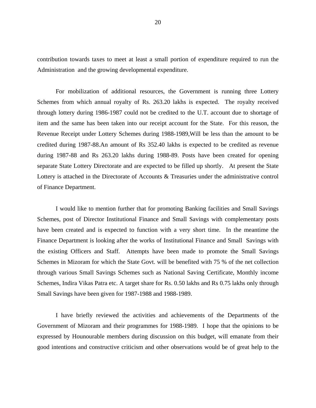contribution towards taxes to meet at least a small portion of expenditure required to run the Administration and the growing developmental expenditure.

 For mobilization of additional resources, the Government is running three Lottery Schemes from which annual royalty of Rs. 263.20 lakhs is expected. The royalty received through lottery during 1986-1987 could not be credited to the U.T. account due to shortage of item and the same has been taken into our receipt account for the State. For this reason, the Revenue Receipt under Lottery Schemes during 1988-1989,Will be less than the amount to be credited during 1987-88.An amount of Rs 352.40 lakhs is expected to be credited as revenue during 1987-88 and Rs 263.20 lakhs during 1988-89. Posts have been created for opening separate State Lottery Directorate and are expected to be filled up shortly. At present the State Lottery is attached in the Directorate of Accounts & Treasuries under the administrative control of Finance Department.

I would like to mention further that for promoting Banking facilities and Small Savings Schemes, post of Director Institutional Finance and Small Savings with complementary posts have been created and is expected to function with a very short time. In the meantime the Finance Department is looking after the works of Institutional Finance and Small Savings with the existing Officers and Staff. Attempts have been made to promote the Small Savings Schemes in Mizoram for which the State Govt. will be benefited with 75 % of the net collection through various Small Savings Schemes such as National Saving Certificate, Monthly income Schemes, Indira Vikas Patra etc. A target share for Rs. 0.50 lakhs and Rs 0.75 lakhs only through Small Savings have been given for 1987-1988 and 1988-1989.

I have briefly reviewed the activities and achievements of the Departments of the Government of Mizoram and their programmes for 1988-1989. I hope that the opinions to be expressed by Hounourable members during discussion on this budget, will emanate from their good intentions and constructive criticism and other observations would be of great help to the